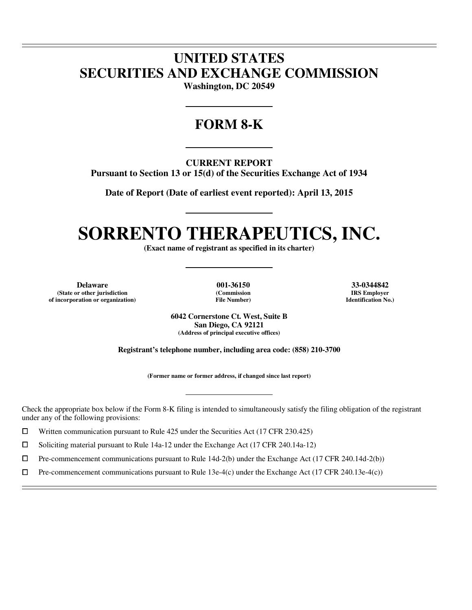## **UNITED STATES SECURITIES AND EXCHANGE COMMISSION**

**Washington, DC 20549** 

### **FORM 8-K**

**CURRENT REPORT** 

**Pursuant to Section 13 or 15(d) of the Securities Exchange Act of 1934** 

**Date of Report (Date of earliest event reported): April 13, 2015** 

# **SORRENTO THERAPEUTICS, INC.**

**(Exact name of registrant as specified in its charter)** 

**Delaware 001-36150 33-0344842 (State or other jurisdiction of incorporation or organization)**

 $\overline{a}$  $\overline{a}$ 

 $\overline{a}$ 

**(Commission File Number)**

**IRS Employer Identification No.)**

**6042 Cornerstone Ct. West, Suite B San Diego, CA 92121 (Address of principal executive offices)** 

**Registrant's telephone number, including area code: (858) 210-3700** 

**(Former name or former address, if changed since last report)** 

Check the appropriate box below if the Form 8-K filing is intended to simultaneously satisfy the filing obligation of the registrant under any of the following provisions:

 $□$  Written communication pursuant to Rule 425 under the Securities Act (17 CFR 230.425)<br>
□ Soliciting material pursuant to Rule 14a-12 under the Exchange Act (17 CFR 240.14a-12

<p>\n 5oliciting material pursuit to Rule 14a-12 under the Exchange Act (17 CFR 240.14a-12)\n <math>\Box</math>\n</p>\n<p>\n Pre-component communications pursuit to Rule 14d-2(b) under the Exchange Act (17 CFR 240.14a-12)\n</p>

 $\Box$  Pre-commencement communications pursuant to Rule 14d-2(b) under the Exchange Act (17 CFR 240.14d-2(b))<br>  $\Box$  Pre-commencement communications pursuant to Rule 13e-4(c) under the Exchange Act (17 CFR 240.13e-4(c))

Pre-commencement communications pursuant to Rule 13e-4(c) under the Exchange Act (17 CFR 240.13e-4(c))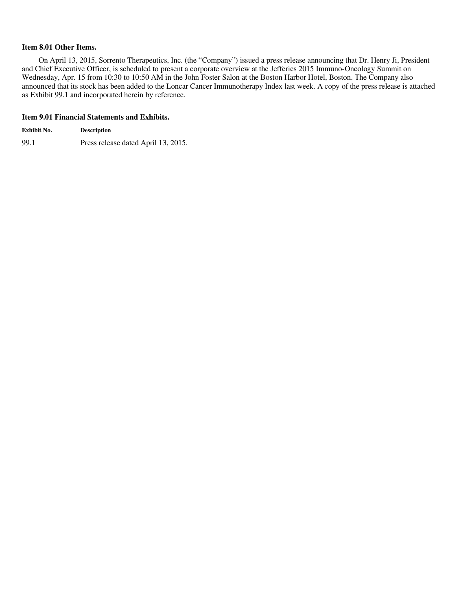#### **Item 8.01 Other Items.**

On April 13, 2015, Sorrento Therapeutics, Inc. (the "Company") issued a press release announcing that Dr. Henry Ji, President and Chief Executive Officer, is scheduled to present a corporate overview at the Jefferies 2015 Immuno-Oncology Summit on Wednesday, Apr. 15 from 10:30 to 10:50 AM in the John Foster Salon at the Boston Harbor Hotel, Boston. The Company also announced that its stock has been added to the Loncar Cancer Immunotherapy Index last week. A copy of the press release is attached as Exhibit 99.1 and incorporated herein by reference.

#### **Item 9.01 Financial Statements and Exhibits.**

| Exhibit No. | <b>Description</b>                  |
|-------------|-------------------------------------|
| 99.1        | Press release dated April 13, 2015. |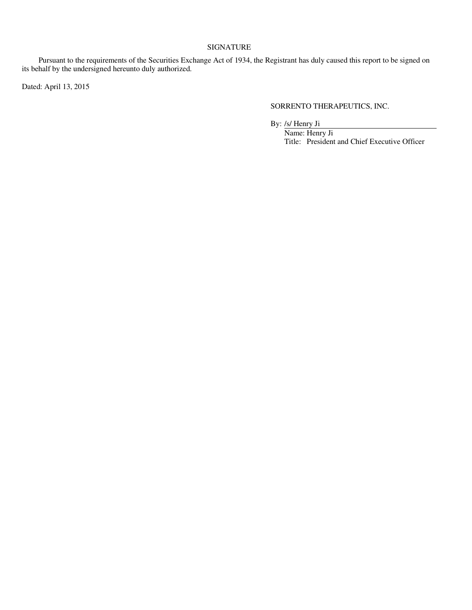#### SIGNATURE

Pursuant to the requirements of the Securities Exchange Act of 1934, the Registrant has duly caused this report to be signed on its behalf by the undersigned hereunto duly authorized.

Dated: April 13, 2015

SORRENTO THERAPEUTICS, INC.

By: /s/ Henry Ji

Name: Henry Ji Title: President and Chief Executive Officer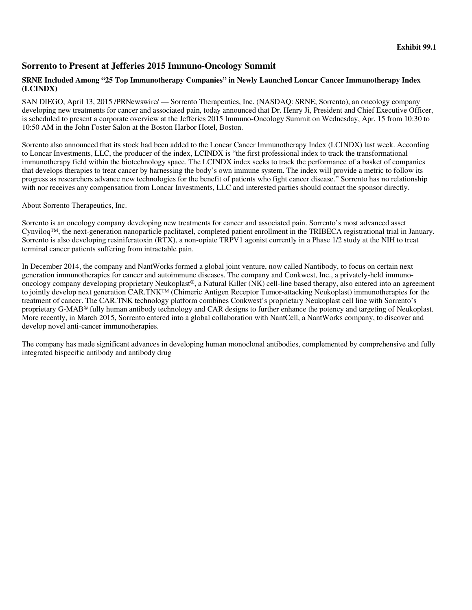### **Sorrento to Present at Jefferies 2015 Immuno-Oncology Summit**

#### **SRNE Included Among "25 Top Immunotherapy Companies" in Newly Launched Loncar Cancer Immunotherapy Index (LCINDX)**

SAN DIEGO, April 13, 2015 /PRNewswire/ — Sorrento Therapeutics, Inc. (NASDAQ: SRNE; Sorrento), an oncology company developing new treatments for cancer and associated pain, today announced that Dr. Henry Ji, President and Chief Executive Officer, is scheduled to present a corporate overview at the Jefferies 2015 Immuno-Oncology Summit on Wednesday, Apr. 15 from 10:30 to 10:50 AM in the John Foster Salon at the Boston Harbor Hotel, Boston.

Sorrento also announced that its stock had been added to the Loncar Cancer Immunotherapy Index (LCINDX) last week. According to Loncar Investments, LLC, the producer of the index, LCINDX is "the first professional index to track the transformational immunotherapy field within the biotechnology space. The LCINDX index seeks to track the performance of a basket of companies that develops therapies to treat cancer by harnessing the body's own immune system. The index will provide a metric to follow its progress as researchers advance new technologies for the benefit of patients who fight cancer disease." Sorrento has no relationship with nor receives any compensation from Loncar Investments, LLC and interested parties should contact the sponsor directly.

About Sorrento Therapeutics, Inc.

Sorrento is an oncology company developing new treatments for cancer and associated pain. Sorrento's most advanced asset Cynviloq™, the next-generation nanoparticle paclitaxel, completed patient enrollment in the TRIBECA registrational trial in January. Sorrento is also developing resiniferatoxin (RTX), a non-opiate TRPV1 agonist currently in a Phase 1/2 study at the NIH to treat terminal cancer patients suffering from intractable pain.

In December 2014, the company and NantWorks formed a global joint venture, now called Nantibody, to focus on certain next generation immunotherapies for cancer and autoimmune diseases. The company and Conkwest, Inc., a privately-held immunooncology company developing proprietary Neukoplast®, a Natural Killer (NK) cell-line based therapy, also entered into an agreement to jointly develop next generation CAR.TNK™ (Chimeric Antigen Receptor Tumor-attacking Neukoplast) immunotherapies for the treatment of cancer. The CAR.TNK technology platform combines Conkwest's proprietary Neukoplast cell line with Sorrento's proprietary G-MAB® fully human antibody technology and CAR designs to further enhance the potency and targeting of Neukoplast. More recently, in March 2015, Sorrento entered into a global collaboration with NantCell, a NantWorks company, to discover and develop novel anti-cancer immunotherapies.

The company has made significant advances in developing human monoclonal antibodies, complemented by comprehensive and fully integrated bispecific antibody and antibody drug